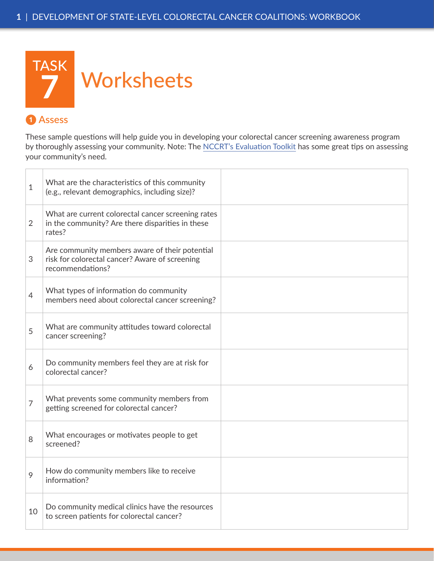

### **❶ Assess**

These sample questions will help guide you in developing your colorectal cancer screening awareness program by thoroughly assessing your community. Note: The [NCCRT's Evaluation Toolkit](http://nccrt.org/resource/evaluation-toolkit/) has some great tips on assessing your community's need.

| $\mathbf{1}$   | What are the characteristics of this community<br>(e.g., relevant demographics, including size)?                     |  |
|----------------|----------------------------------------------------------------------------------------------------------------------|--|
| $\overline{2}$ | What are current colorectal cancer screening rates<br>in the community? Are there disparities in these<br>rates?     |  |
| 3              | Are community members aware of their potential<br>risk for colorectal cancer? Aware of screening<br>recommendations? |  |
| $\overline{4}$ | What types of information do community<br>members need about colorectal cancer screening?                            |  |
| 5              | What are community attitudes toward colorectal<br>cancer screening?                                                  |  |
| 6              | Do community members feel they are at risk for<br>colorectal cancer?                                                 |  |
| $\overline{7}$ | What prevents some community members from<br>getting screened for colorectal cancer?                                 |  |
| 8              | What encourages or motivates people to get<br>screened?                                                              |  |
| 9              | How do community members like to receive<br>information?                                                             |  |
| 10             | Do community medical clinics have the resources<br>to screen patients for colorectal cancer?                         |  |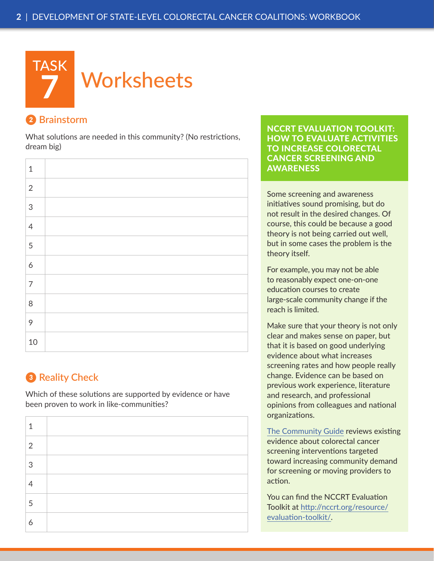

#### **❷ Brainstorm**

What solutions are needed in this community? (No restrictions, dream big)

| $\mathbf 1$    |  |
|----------------|--|
| $\sqrt{2}$     |  |
| $\mathsf 3$    |  |
| $\overline{4}$ |  |
| 5              |  |
| $\overline{6}$ |  |
| $\overline{7}$ |  |
| $\,8\,$        |  |
| 9              |  |
| 10             |  |

# **❸ Reality Check**

Which of these solutions are supported by evidence or have been proven to work in like-communities?

| 1              |  |
|----------------|--|
| $\overline{2}$ |  |
| 3              |  |
| 4              |  |
| 5              |  |
| 6              |  |

[NCCRT EVALUATION TOOLKIT:](http://nccrt.org/resource/evaluation-toolkit/) HOW TO EVALUATE ACTIVITIES TO INCREASE COLORECTAL CANCER SCREENING AND AWARENESS

Some screening and awareness initiatives sound promising, but do not result in the desired changes. Of course, this could be because a good theory is not being carried out well, but in some cases the problem is the theory itself.

For example, you may not be able to reasonably expect one-on-one education courses to create large-scale community change if the reach is limited.

Make sure that your theory is not only clear and makes sense on paper, but that it is based on good underlying evidence about what increases screening rates and how people really change. Evidence can be based on previous work experience, literature and research, and professional opinions from colleagues and national organizations.

[The Community Guide](http://www.thecommunityguide.org/cancer/index.html) reviews existing evidence about colorectal cancer screening interventions targeted toward increasing community demand for screening or moving providers to action.

You can find the NCCRT Evaluation Toolkit at [http://nccrt.org/resource/](http://nccrt.org/resource/evaluation-toolkit/) [evaluation-toolkit/](http://nccrt.org/resource/evaluation-toolkit/).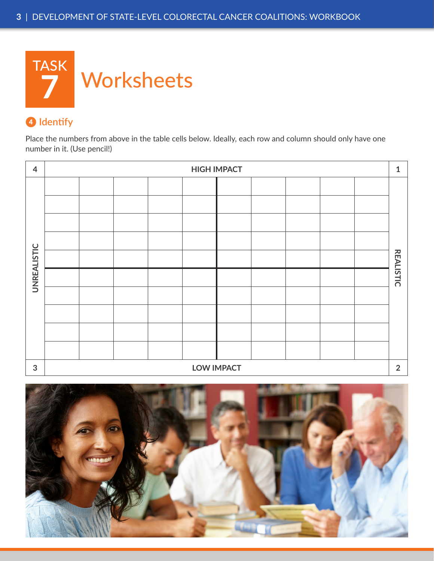

## **❹ Identify**

Place the numbers from above in the table cells below. Ideally, each row and column should only have one number in it. (Use pencil!)